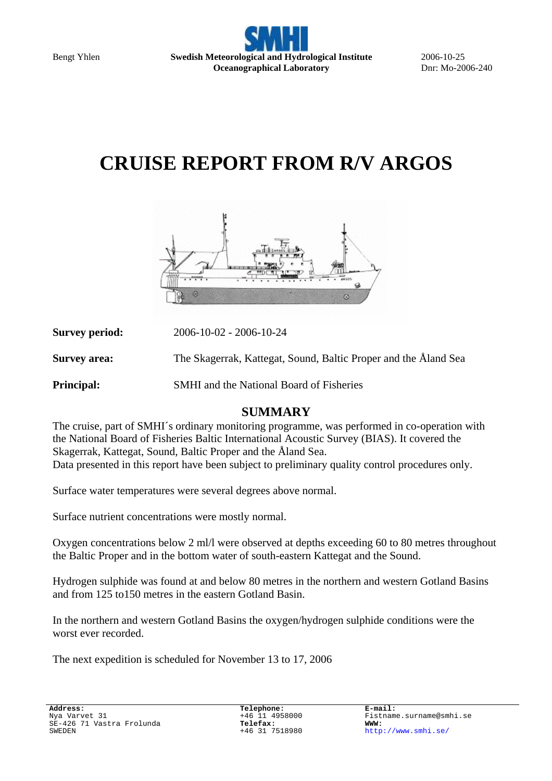

2006-10-25 Dnr: Mo-2006-240

# **CRUISE REPORT FROM R/V ARGOS**



| <b>Survey period:</b> | $2006 - 10 - 02 - 2006 - 10 - 24$                               |
|-----------------------|-----------------------------------------------------------------|
| <b>Survey area:</b>   | The Skagerrak, Kattegat, Sound, Baltic Proper and the Åland Sea |
| <b>Principal:</b>     | <b>SMHI</b> and the National Board of Fisheries                 |

#### **SUMMARY**

The cruise, part of SMHI´s ordinary monitoring programme, was performed in co-operation with the National Board of Fisheries Baltic International Acoustic Survey (BIAS). It covered the Skagerrak, Kattegat, Sound, Baltic Proper and the Åland Sea. Data presented in this report have been subject to preliminary quality control procedures only.

Surface water temperatures were several degrees above normal.

Surface nutrient concentrations were mostly normal.

Oxygen concentrations below 2 ml/l were observed at depths exceeding 60 to 80 metres throughout the Baltic Proper and in the bottom water of south-eastern Kattegat and the Sound.

Hydrogen sulphide was found at and below 80 metres in the northern and western Gotland Basins and from 125 to150 metres in the eastern Gotland Basin.

In the northern and western Gotland Basins the oxygen/hydrogen sulphide conditions were the worst ever recorded.

The next expedition is scheduled for November 13 to 17, 2006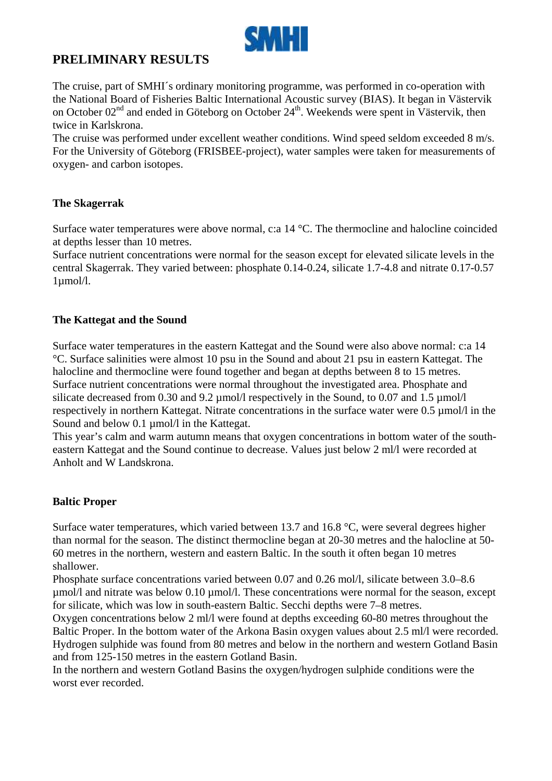

## **PRELIMINARY RESULTS**

The cruise, part of SMHI´s ordinary monitoring programme, was performed in co-operation with the National Board of Fisheries Baltic International Acoustic survey (BIAS). It began in Västervik on October  $02<sup>nd</sup>$  and ended in Göteborg on October  $24<sup>th</sup>$ . Weekends were spent in Västervik, then twice in Karlskrona.

The cruise was performed under excellent weather conditions. Wind speed seldom exceeded 8 m/s. For the University of Göteborg (FRISBEE-project), water samples were taken for measurements of oxygen- and carbon isotopes.

#### **The Skagerrak**

Surface water temperatures were above normal, c:a 14 °C. The thermocline and halocline coincided at depths lesser than 10 metres.

Surface nutrient concentrations were normal for the season except for elevated silicate levels in the central Skagerrak. They varied between: phosphate 0.14-0.24, silicate 1.7-4.8 and nitrate 0.17-0.57 1µmol/l.

#### **The Kattegat and the Sound**

Surface water temperatures in the eastern Kattegat and the Sound were also above normal: c:a 14 °C. Surface salinities were almost 10 psu in the Sound and about 21 psu in eastern Kattegat. The halocline and thermocline were found together and began at depths between 8 to 15 metres. Surface nutrient concentrations were normal throughout the investigated area. Phosphate and silicate decreased from 0.30 and 9.2  $\mu$ mol/l respectively in the Sound, to 0.07 and 1.5  $\mu$ mol/l respectively in northern Kattegat. Nitrate concentrations in the surface water were 0.5 µmol/l in the Sound and below 0.1 umol/l in the Kattegat.

This year's calm and warm autumn means that oxygen concentrations in bottom water of the southeastern Kattegat and the Sound continue to decrease. Values just below 2 ml/l were recorded at Anholt and W Landskrona.

#### **Baltic Proper**

Surface water temperatures, which varied between 13.7 and 16.8 °C, were several degrees higher than normal for the season. The distinct thermocline began at 20-30 metres and the halocline at 50- 60 metres in the northern, western and eastern Baltic. In the south it often began 10 metres shallower.

Phosphate surface concentrations varied between 0.07 and 0.26 mol/l, silicate between 3.0–8.6 µmol/l and nitrate was below 0.10 µmol/l. These concentrations were normal for the season, except for silicate, which was low in south-eastern Baltic. Secchi depths were 7–8 metres.

Oxygen concentrations below 2 ml/l were found at depths exceeding 60-80 metres throughout the Baltic Proper. In the bottom water of the Arkona Basin oxygen values about 2.5 ml/l were recorded. Hydrogen sulphide was found from 80 metres and below in the northern and western Gotland Basin and from 125-150 metres in the eastern Gotland Basin.

In the northern and western Gotland Basins the oxygen/hydrogen sulphide conditions were the worst ever recorded.